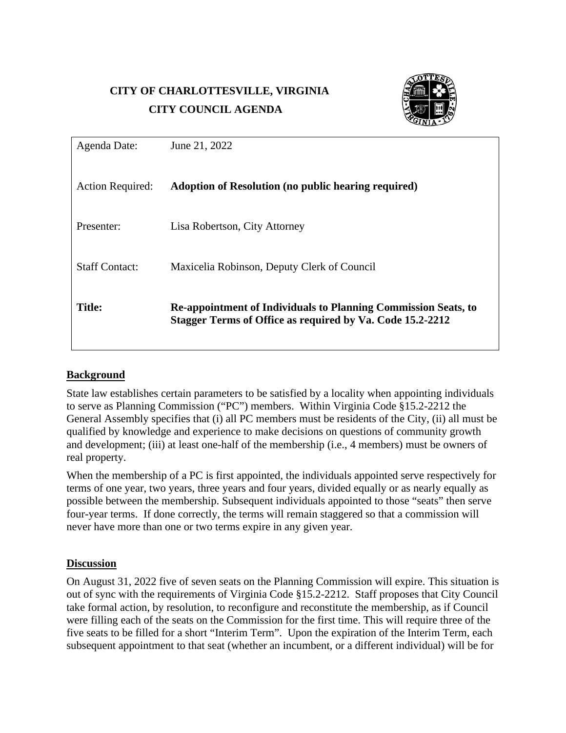# **CITY OF CHARLOTTESVILLE, VIRGINIA CITY COUNCIL AGENDA**



| Agenda Date:            | June 21, 2022                                                                                                                      |  |
|-------------------------|------------------------------------------------------------------------------------------------------------------------------------|--|
| <b>Action Required:</b> | <b>Adoption of Resolution (no public hearing required)</b>                                                                         |  |
| Presenter:              | Lisa Robertson, City Attorney                                                                                                      |  |
| <b>Staff Contact:</b>   | Maxicelia Robinson, Deputy Clerk of Council                                                                                        |  |
| <b>Title:</b>           | <b>Re-appointment of Individuals to Planning Commission Seats, to</b><br>Stagger Terms of Office as required by Va. Code 15.2-2212 |  |

## **Background**

State law establishes certain parameters to be satisfied by a locality when appointing individuals to serve as Planning Commission ("PC") members. Within Virginia Code §15.2-2212 the General Assembly specifies that (i) all PC members must be residents of the City, (ii) all must be qualified by knowledge and experience to make decisions on questions of community growth and development; (iii) at least one-half of the membership (i.e., 4 members) must be owners of real property.

When the membership of a PC is first appointed, the individuals appointed serve respectively for terms of one year, two years, three years and four years, divided equally or as nearly equally as possible between the membership. Subsequent individuals appointed to those "seats" then serve four-year terms. If done correctly, the terms will remain staggered so that a commission will never have more than one or two terms expire in any given year.

### **Discussion**

On August 31, 2022 five of seven seats on the Planning Commission will expire. This situation is out of sync with the requirements of Virginia Code §15.2-2212. Staff proposes that City Council take formal action, by resolution, to reconfigure and reconstitute the membership, as if Council were filling each of the seats on the Commission for the first time. This will require three of the five seats to be filled for a short "Interim Term". Upon the expiration of the Interim Term, each subsequent appointment to that seat (whether an incumbent, or a different individual) will be for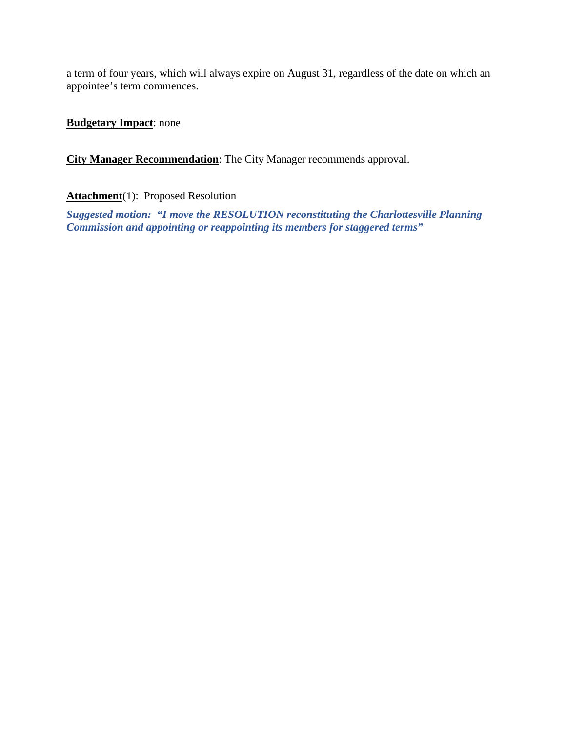a term of four years, which will always expire on August 31, regardless of the date on which an appointee's term commences.

**Budgetary Impact**: none

**City Manager Recommendation**: The City Manager recommends approval.

Attachment<sup>(1):</sup> Proposed Resolution

*Suggested motion: "I move the RESOLUTION reconstituting the Charlottesville Planning Commission and appointing or reappointing its members for staggered terms"*